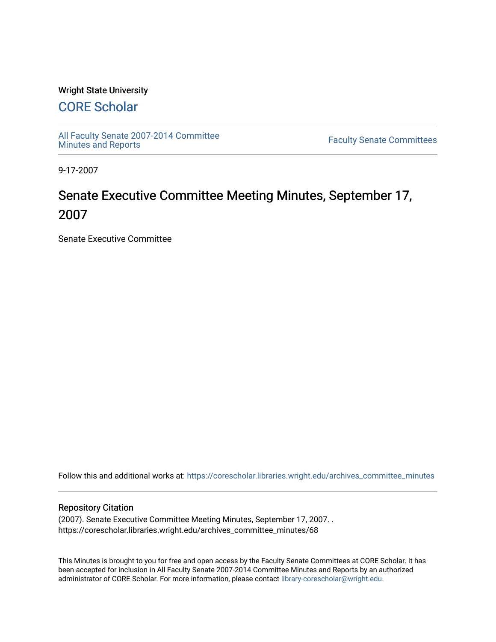### Wright State University

## [CORE Scholar](https://corescholar.libraries.wright.edu/)

[All Faculty Senate 2007-2014 Committee](https://corescholar.libraries.wright.edu/archives_committee_minutes)

**Faculty Senate Committees** 

9-17-2007

# Senate Executive Committee Meeting Minutes, September 17, 2007

Senate Executive Committee

Follow this and additional works at: [https://corescholar.libraries.wright.edu/archives\\_committee\\_minutes](https://corescholar.libraries.wright.edu/archives_committee_minutes?utm_source=corescholar.libraries.wright.edu%2Farchives_committee_minutes%2F68&utm_medium=PDF&utm_campaign=PDFCoverPages) 

#### Repository Citation

(2007). Senate Executive Committee Meeting Minutes, September 17, 2007. . https://corescholar.libraries.wright.edu/archives\_committee\_minutes/68

This Minutes is brought to you for free and open access by the Faculty Senate Committees at CORE Scholar. It has been accepted for inclusion in All Faculty Senate 2007-2014 Committee Minutes and Reports by an authorized administrator of CORE Scholar. For more information, please contact [library-corescholar@wright.edu.](mailto:library-corescholar@wright.edu)